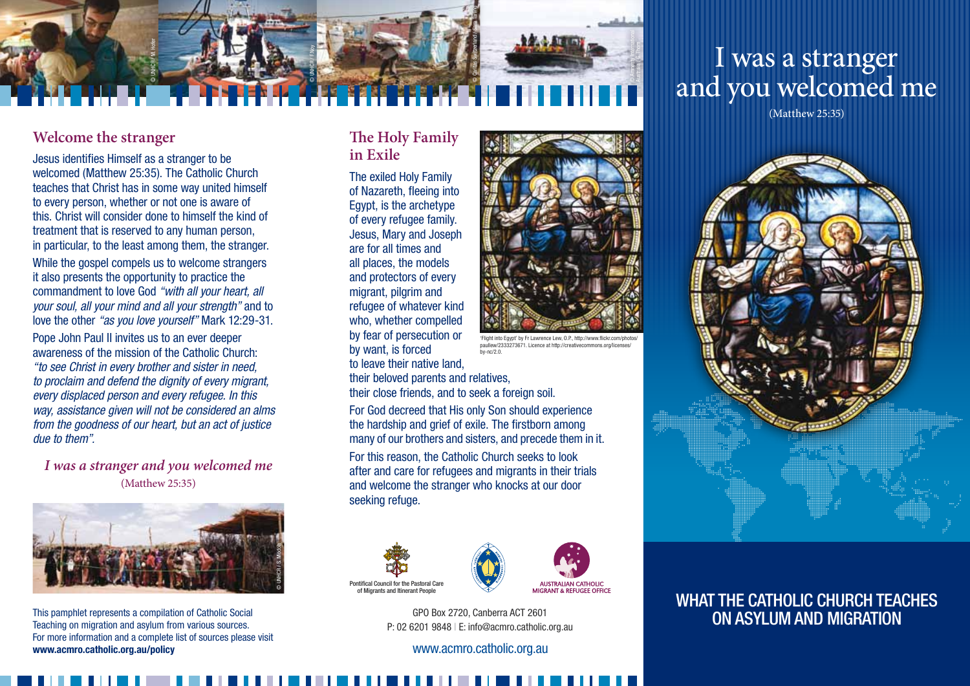

# I was a stranger and you welcomed me

(Matthew 25:35)

# **Welcome the stranger**

Jesus identifies Himself as a stranger to be welcomed (Matthew 25:35). The Catholic Church teaches that Christ has in some way united himself to every person, whether or not one is aware of this. Christ will consider done to himself the kind of treatment that is reserved to any human person, in particular, to the least among them, the stranger.

While the gospel compels us to welcome strangers it also presents the opportunity to practice the commandment to love God *"with all your heart, all your soul, all your mind and all your strength"* and to love the other *"as you love yourself"* Mark 12:29-31.

Pope John Paul II invites us to an ever deeper awareness of the mission of the Catholic Church: *"to see Christ in every brother and sister in need, to proclaim and defend the dignity of every migrant, every displaced person and every refugee. In this way, assistance given will not be considered an alms from the goodness of our heart, but an act of justice due to them".* 

*I was a stranger and you welcomed me* (Matthew 25:35)



This pamphlet represents a compilation of Catholic Social Teaching on migration and asylum from various sources. For more information and a complete list of sources please visit www.acmro.catholic.org.au/policy

#### **The Holy Family in Exile**

The exiled Holy Family of Nazareth, fleeing into Egypt, is the archetype of every refugee family. Jesus, Mary and Joseph are for all times and all places, the models and protectors of every migrant, pilgrim and refugee of whatever kind who, whether compelled by fear of persecution or by want, is forced to leave their native land, their beloved parents and relatives, their close friends, and to seek a foreign soil.

For God decreed that His only Son should experience the hardship and grief of exile. The firstborn among many of our brothers and sisters, and precede them in it. For this reason, the Catholic Church seeks to look after and care for refugees and migrants in their trials and welcome the stranger who knocks at our door seeking refuge.

by-nc/2.0.





GPO Box 2720, Canberra ACT 2601 P: 02 6201 9848 | E: info@acmro.catholic.org.au

www.acmro.catholic.org.au



# WHAT THE CATHOLIC CHURCH TEACHES on Asylum and Migration